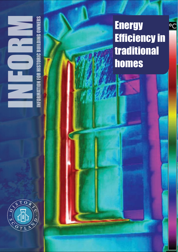# **GOWNERS** •∙ R HISTORIC BUI



**Energy** Efficiency in traditional homes

∘c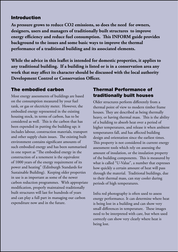#### Introduction

**As pressure grows to reduce CO2 emissions, so does the need for owners, designers, users and managers of traditionally built structures to improve**  energy efficiency and reduce fuel consumption. This INFORM guide provides **background to the issues and some basic ways to improve the thermal performance of a traditional building and its associated elements.**

**While the advice in this leaflet is intended for domestic properties, it applies to any traditional building. If a building is listed or is in a conservation area any work that may affect its character should be discussed with the local authority Development Control or Conservation Officer.**

# The embodied carbon

Most energy assessments of buildings are based on the consumption measured by your fuel tank, or gas or electricity meter. However, the embodied energy represented in the existing housing stock, in terms of carbon, has to be considered as well. This is the carbon that has been expended in putting the building up; it includes labour, construction materials, transport and other supply chain issues. The existing built environment contains significant amounts of such embodied energy and has been summarised in one report as "The embodied energy in the construction of a tenement is the equivalent of 1000 years of the energy requirement of its power and heating" (Edinburgh Standards for Sustainable Building). Keeping older properties in use is as important as some of the newer carbon reduction programmes. With appropriate modification, properly maintained traditionally built structures will last for hundreds of years and can play a full part in managing our carbon expenditure now and in the future.

# Thermal Performance of traditionally built houses

Older structures perform differently from a thermal point of view to modern timber frame houses. They are described as being thermally heavy, or having thermal mass. This is the ability of a building to absorb heat over a period of higher temperatures, and release it when ambient temperatures fall, and has affected building design and orientation since the earliest times. This property is not considered in current energy assessment tools which rely on assessing the amount of insulation, or the insulation property of the building components. This is measured by what is called "U-Value", a number that expresses how quickly a certain amount of heat will pass through the material. Traditional buildings, due to their thermal mass, can stay cooler during periods of high temperatures.

Infra red photography is often used to assess energy performance. It can determine where heat is being lost in a building and can show very small differences in temperature. These images need to be interpreted with care, but when used correctly can show very clearly where heat is being lost.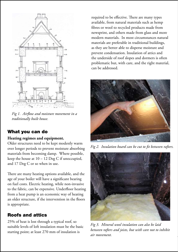

*Fig 1. Airflow and moisture movement in a traditionally built house.*

#### What you can do

#### **Heating regimes and equipment.**

Older structures need to be kept modestly warm over longer periods to prevent moisture absorbing materials from becoming damp. Where possible, keep the house at 10 – 12 Deg C if unoccupied, and 17 Deg C or so when in use.

There are many heating options available, and the age of your boiler will have a significant bearing on fuel costs. Electric heating, while non-invasive to the fabric, can be expensive. Underfloor heating from a heat pump is an economic way of heating an older structure, if the intervention in the floors is appropriate.

# Roofs and attics

25% of heat is lost through a typical roof, so suitable levels of loft insulation must be the basic starting point; at least 270 mm of insulation is

required to be effective. There are many types available, from natural materials such as hemp fibres or wool to recycled products made from newsprint, and others made from glass and more modern materials. In most circumstances natural materials are preferable in traditional buildings, as they are better able to disperse moisture and prevent condensation. Insulation of attics and the underside of roof slopes and dormers is often problematic but, with care, and the right material, can be addressed.



*Fig 2. Insulation board can be cut to fit between rafters.*



*Fig 3. Mineral wool insulation can also be laid between rafters and joists, but with care not to inhibit air movement.*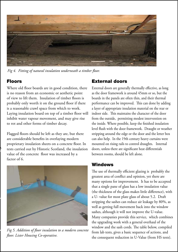

*Fig 4. Fitting of natural insulation underneath a timber floor.*

# Floors

*Fig 2. Insulation board can be cut to fit between rafters.*

Where old floor boards are in good condition, there is no reason from an economic or aesthetic point of view to lift them. Insulation of timber floors is probably only worth it on the ground floor if there is a reasonable crawl space from which to work. Laying insulation board on top of a timber floor will inhibit water vapour movement, and may give rise to rot and other forms of timber decay.

Flagged floors should be left as they are, but there are considerable benefits in overlaying modern proprietary insulation sheets on a concrete floor. In tests carried out by Historic Scotland, the insulation value of the concrete floor was increased by a factor of 6.



*Fig 5. Addition of floor insulation to a modern concrete floor. Lister Housing Co-operative.*

# External doors

External doors are generally thermally effective, as long as the door framework is around 45mm or so, but the boards in the panels are often thin, and their thermal performance can be improved. This can done by adding a layer of appropriate insulation material on the rear or indoor side. This maintains the character of the door from the outside, permitting modest intervention on the inside. Where possible, keep the finished insulation level flush with the door framework. Draught or weather stripping around the edge or the door and the letter box can also help. In the 19th century heavy curtains were mounted on rising rails to control draughts. Internal doors, unless there are significant heat differentials between rooms, should be left alone.

#### Windows

The use of thermally efficient glazing is probably the greatest area of conflict and opinion, yet there are many options for improvement. It has to be accepted that a single pane of glass has a low insulation value (the thickness of the glass makes little difference), with a U- value for most plate glass of about 5.2. Draft stripping the sashes can reduce air leakage by 80%, as well as getting full movement back into the window sashes, although it will not improve the U-value. Many companies provide this service, which combines the upgrading work with a general overhaul of the window and the sash cords. The table below, compiled from lab tests, gives a basic sequence of actions, and the consequent reduction in U-Value (from HS tests).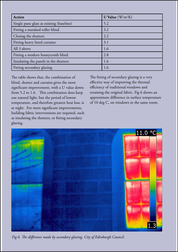| <b>Action</b>                            | U Value $(W/m^2K)$ |
|------------------------------------------|--------------------|
| Single pane glass as existing (baseline) | 5.2                |
| Fitting a standard roller blind          | 3.2                |
| Closing the shutters                     | 2.2                |
| Fitting heavy lined curtains             | 3.1                |
| All 3 above                              | 1.6                |
| Fitting a modern honeycomb blind         | 2.8                |
| Insulating the panels in the shutters    | 1.6                |
| Fitting secondary glazing                | 1.6                |

The table shows that, the combination of blind, shutter and curtains gives the most significant improvement, with a U value down from  $5.2$  to  $1.6$ . This combination does keep out natural light, but the period of lowest temperature, and therefore greatest heat loss, is at night. For more significant improvements, building fabric interventions are required, such as insulating the shutters, or fitting secondary glazing.

The fitting of secondary glazing is a very effective way of improving the thermal efficiency of traditional windows and retaining the original fabric. Fig 6 shows an approximate difference in surface temperature of 10 deg C, on windows in the same room.



Fig 6. The difference made by secondary glazing. City of Edinburgh Council.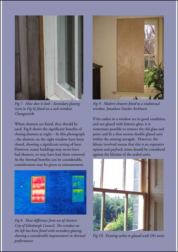

*Fig 7. How does it look - Secondary glazing (seen in Fig 6) fitted on a sash window. Changeworks*

Where shutters are fitted, they should be used. Fig 8 shows the significant benefits of closing shutters at night – In this photograph , the shutters on the right window have been closed, showing a significant saving of heat. However, many buildings may never have had shutters, or may have had them removed. As the thermal benefits can be considerable, consideration may be given to reinstatement.



*Fig 8. Heat difference from use of shutters.*  **City of Edinburgh Council. The window on** *the left has been fitted with secondary glazing, showing a considerable improvement in thermal performance.*



*Fig 9. Modern shutters fitted to a traditional window. Jonathan Gotelee Architects*

If the sashes in a window are in good condition, and not glazed with historic glass, it is sometimes possible to remove the old glass and putty and fit a thin section double glazed unit within the existing astragals. However, the labour involved means that this is an expensive option and payback times should be considered against the lifetime of the sealed units.



*Fig 10. Existing sashes re-glazed with DG units.*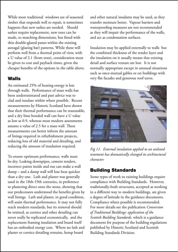While most traditional windows are of seasoned timber that responds well to repair, it sometimes happens that new sashes are needed. Should sashes require replacement, new ones can be made, to matching dimensions, but fitted with thin double-glazed panes within the existing astragal (glazing bar) patterns. While these will perform well from a thermal point of view, with a U value of 2.1 (from tests), consideration must be given to cost and payback times, given the cheaper benefits of the options in the table above.

#### Walls

An estimated 25% of heating energy is lost through walls. Performance of mass walls has been underestimated and past advice was to clad and insulate within where possible. Recent measurements by Historic Scotland have shown that their thermal performance can be reasonable, and a dry lime bonded wall can have a U value as low as 0.9, whereas most modern assessments assume a value of  $2.5$  for a mass wall. These measurements can better inform the amount of linings required in refurbishment projects, reducing loss of old material and detailing, and reducing the amount of insulation required.

To ensure optimum performance, walls must be dry. Leaking downpipes, cement renders, incorrect paints inside and out can make a wall damp – and a damp wall will lose heat quicker than a dry one. Lath and plaster was generally used in the 18th-19th centuries, in preference to plastering direct onto the stone, showing that our predecessors understood the benefits given by wall linings. Lath and plaster, in good condition, will assist thermal performance. It may not fully reach modern standards, but its removal should be resisted, as cornice and other detailing can never really be replicated economically, and the replacement framing insulation and board itself has an embodied energy cost. Where no lath and plaster or cornice detailing remains, hemp board

and other natural insulants may be used, as they transfer moisture better. Vapour barriers and waterproofing measures are not recommended as they will impair the performance of the walls, and act as condensation surfaces.

Insulation may be applied externally to walls but the combined thickness of the render layer and the insulation on it usually means that existing detail and surface texture are lost. It is not normally appropriate except in unusual situations such as once-mutual gables or on buildings with very flat facades and generous roof eaves.



*Fig 11. External insulation applied to an unlisted tenement has dramatically changed its architectural character.*

#### Building Standards

Some types of work to existing buildings require compliance with Building Standards. However, traditionally-built structures, accepted as working in a different way to modern buildings, are given a degree of latitude in the guidance documents. Compliance where possible is recommended. For more details see the publication *Conversion of Traditional Buildings: application of the Scottish Building Standards*, which is a guidance document for purpose of the building regulations published by Historic Scotland and Scottish Building Standards Division.